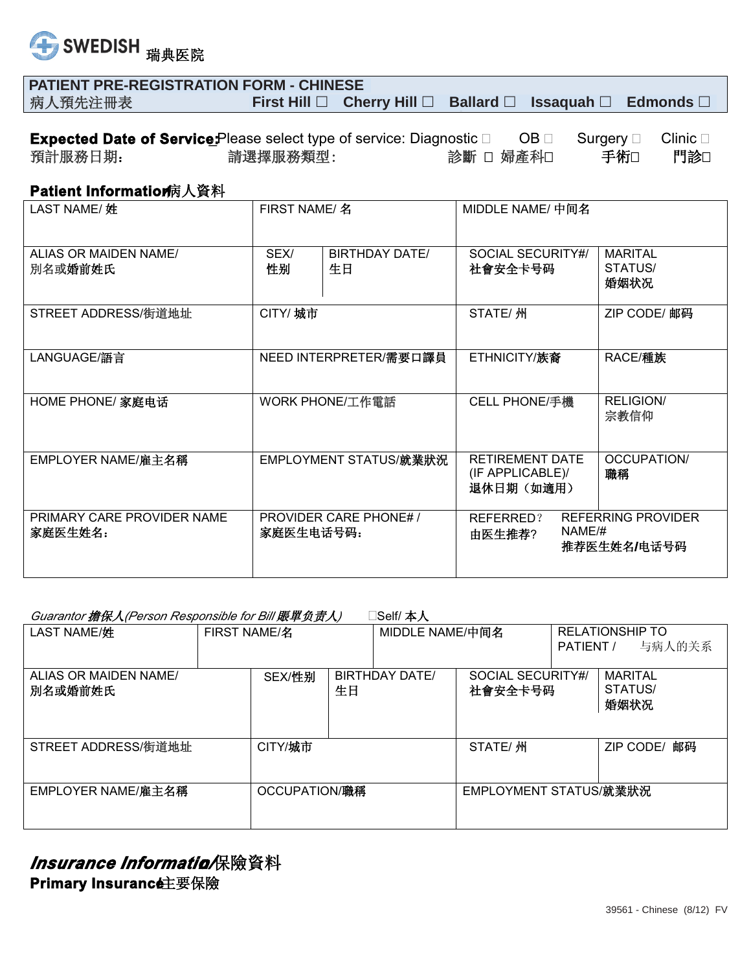

| <b>PATIENT PRE-REGISTRATION FORM - CHINESE</b> |                                                                                    |  |  |
|------------------------------------------------|------------------------------------------------------------------------------------|--|--|
| 病人預先注冊表                                        | First Hill $\Box$ Cherry Hill $\Box$ Ballard $\Box$ Issaguah $\Box$ Edmonds $\Box$ |  |  |

|         | <b>Expected Date of Service</b> : Please select type of service: Diagnostic □ | $OB \Box$ | Surgery $\Box$ |     |
|---------|-------------------------------------------------------------------------------|-----------|----------------|-----|
| 預計服務日期: | 請選擇服務類型:                                                                      | 診斷 □ 婦産科□ | 手術□            | 門診□ |

## **Patient Information<sup>病</sup>人資料**

| LAST NAME/姓                           | FIRST NAME/ 名                             | MIDDLE NAME/ 中间名                                                              |
|---------------------------------------|-------------------------------------------|-------------------------------------------------------------------------------|
| ALIAS OR MAIDEN NAME/<br>別名或婚前姓氏      | SEX/<br>BIRTHDAY DATE/<br>性别<br>生日        | SOCIAL SECURITY#/<br><b>MARITAL</b><br>STATUS/<br>社會安全卡号码<br>婚姻状况             |
| STREET ADDRESS/街道地址                   | CITY/ 城市                                  | STATE/ 州<br>ZIP CODE/ 邮码                                                      |
| LANGUAGE/語言                           | NEED INTERPRETER/需要口譯員                    | RACE/種族<br>ETHNICITY/族裔                                                       |
| HOME PHONE/ 家庭电话                      | WORK PHONE/工作電話                           | <b>RELIGION/</b><br>CELL PHONE/手機<br>宗教信仰                                     |
| EMPLOYER NAME/雇主名稱                    | EMPLOYMENT STATUS/就業狀況                    | <b>RETIREMENT DATE</b><br>OCCUPATION/<br>(IF APPLICABLE)/<br>職稱<br>退休日期 (如適用) |
| PRIMARY CARE PROVIDER NAME<br>家庭医生姓名: | <b>PROVIDER CARE PHONE#/</b><br>家庭医生电话号码: | <b>REFERRING PROVIDER</b><br>REFERRED?<br>NAME/#<br>由医生推荐?<br>推荐医生姓名/电话号码     |

## **Guarantor 擔保人(Person Responsible for Bill 賬單负责人)** Self/ 本人

| LAST NAME/姓                      | <b>FIRST NAME/名</b> |               |    | MIDDLE NAME/中间名       |                              | PATIENT / | <b>RELATIONSHIP TO</b><br>与病人的关系  |
|----------------------------------|---------------------|---------------|----|-----------------------|------------------------------|-----------|-----------------------------------|
| ALIAS OR MAIDEN NAME/<br>別名或婚前姓氏 |                     | SEX/性别        | 生日 | <b>BIRTHDAY DATE/</b> | SOCIAL SECURITY#/<br>社會安全卡号码 |           | <b>MARITAL</b><br>STATUS/<br>婚姻状况 |
| STREET ADDRESS/街道地址              |                     | CITY/城市       |    |                       | STATE/ 州                     |           | 邮码<br>ZIP CODE/                   |
| EMPLOYER NAME/雇主名稱               |                     | OCCUPATION/職稱 |    |                       | EMPLOYMENT STATUS/就業狀況       |           |                                   |

*Insurance Informatio/***保險資料 Primary Insurance主要保險**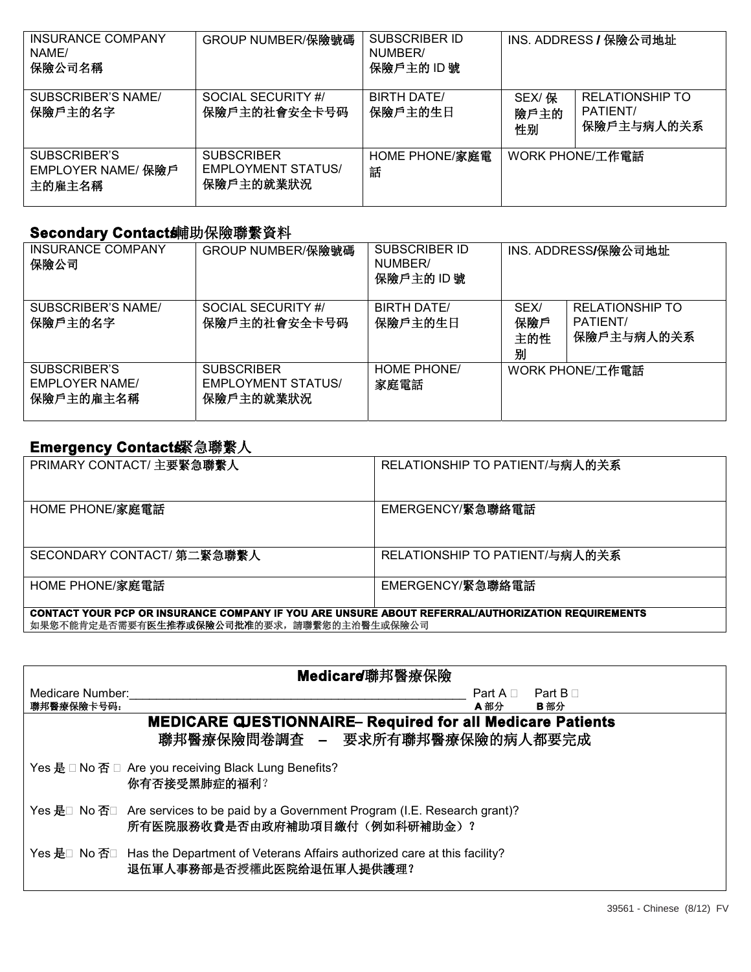| <b>INSURANCE COMPANY</b><br>NAME/<br>保險公司名稱  | GROUP NUMBER/保險號碼                                           | <b>SUBSCRIBER ID</b><br>NUMBER/<br>保險戶主的 ID號 |                      | INS. ADDRESS / 保險公司地址                            |
|----------------------------------------------|-------------------------------------------------------------|----------------------------------------------|----------------------|--------------------------------------------------|
| SUBSCRIBER'S NAME/<br>保險戶主的名字                | SOCIAL SECURITY #/<br>保險戶主的社會安全卡号码                          | BIRTH DATE/<br>保險戶主的生日                       | SEX/ 保<br>險戶主的<br>性别 | <b>RELATIONSHIP TO</b><br>PATIENT/<br>保險戶主与病人的关系 |
| SUBSCRIBER'S<br>EMPLOYER NAME/ 保險戶<br>主的雇主名稱 | <b>SUBSCRIBER</b><br><b>EMPLOYMENT STATUS/</b><br>保險戶主的就業狀況 | HOME PHONE/家庭電<br>話                          |                      | WORK PHONE/工作電話                                  |

## **Secondary Contact鋪助保險聯繫資料**

| <b>INSURANCE COMPANY</b><br>保險公司                   | GROUP NUMBER/保險號碼                                           | <b>SUBSCRIBER ID</b><br>NUMBER/<br>保險戶主的 ID號 |                         | INS. ADDRESS/保險公司地址                              |
|----------------------------------------------------|-------------------------------------------------------------|----------------------------------------------|-------------------------|--------------------------------------------------|
| SUBSCRIBER'S NAME/<br>保險戶主的名字                      | SOCIAL SECURITY #/<br>保險戶主的社會安全卡号码                          | <b>BIRTH DATE/</b><br>保險戶主的生日                | SEX/<br>保險戶<br>主的性<br>别 | <b>RELATIONSHIP TO</b><br>PATIENT/<br>保險戶主与病人的关系 |
| SUBSCRIBER'S<br><b>EMPLOYER NAME/</b><br>保險戶主的雇主名稱 | <b>SUBSCRIBER</b><br><b>EMPLOYMENT STATUS/</b><br>保險戶主的就業狀況 | HOME PHONE/<br>家庭電話                          |                         | WORK PHONE/工作電話                                  |

## Emergency Contact . 新意琳

| PRIMARY CONTACT/ 主要緊急聯繫人                                                                          | RELATIONSHIP TO PATIENT/与病人的关系 |  |  |
|---------------------------------------------------------------------------------------------------|--------------------------------|--|--|
| HOME PHONE/家庭電話                                                                                   | EMERGENCY/緊急聯絡電話               |  |  |
| SECONDARY CONTACT/ 第二緊急聯繫人                                                                        | RELATIONSHIP TO PATIENT/与病人的关系 |  |  |
| HOME PHONE/家庭電話                                                                                   | EMERGENCY/緊急聯絡電話               |  |  |
| CONTACT YOUR PCP OR INSURANCE COMPANY IF YOU ARE UNSURE ABOUT REFERRAL/AUTHORIZATION REQUIREMENTS |                                |  |  |

如果您不能肯定是否需要有**医生推荐或保險公司批准**的要求,請聯繫您的主治醫生或保險公司

|                                | Medicare 聯邦醫療保險                                                                                                      |                                    |     |
|--------------------------------|----------------------------------------------------------------------------------------------------------------------|------------------------------------|-----|
| Medicare Number:<br>聯邦醫療保險卡号码: |                                                                                                                      | Part $A \cap$ Part $B \cap$<br>A部分 | B部分 |
|                                | <b>MEDICARE QJESTIONNAIRE- Required for all Medicare Patients</b>                                                    |                                    |     |
|                                | 聯邦醫療保險問卷調査 - 要求所有聯邦醫療保險的病人都要完成                                                                                       |                                    |     |
|                                | Yes 是 □ No 否 □ Are you receiving Black Lung Benefits?<br>你有否接受黑肺症的福利?                                                |                                    |     |
|                                | Yes 是□ No 否□ Are services to be paid by a Government Program (I.E. Research grant)?<br>所有医院服務收費是否由政府補助項目繳付(例如科研補助金)? |                                    |     |
|                                | Yes 是□ No 否□ Has the Department of Veterans Affairs authorized care at this facility?<br>退伍軍人事務部是否授權此医院给退伍軍人提供護理?    |                                    |     |